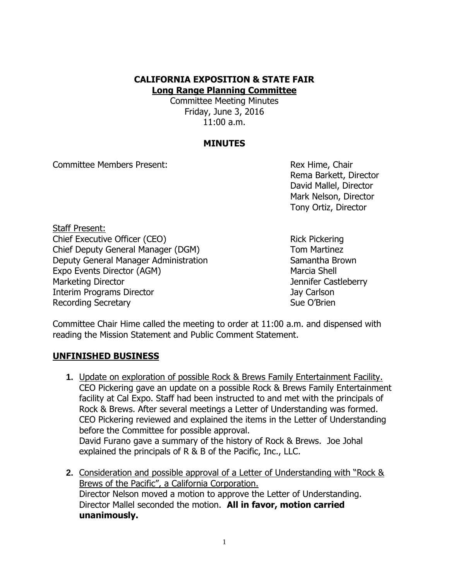## **CALIFORNIA EXPOSITION & STATE FAIR Long Range Planning Committee**

Committee Meeting Minutes Friday, June 3, 2016 11:00 a.m.

## **MINUTES**

Committee Members Present: Rex Hime, Chair

Rema Barkett, Director David Mallel, Director Mark Nelson, Director Tony Ortiz, Director

Staff Present: Chief Executive Officer (CEO) Rick Pickering Chief Deputy General Manager (DGM) Tom Martinez Deputy General Manager Administration Samantha Brown Expo Events Director (AGM) Marcia Shell Marketing Director **Marketing Director** And Tennifer Castleberry Interim Programs Director **Access 12 and 20 and 20 and 20 and 20 and 20 and 20 and 20 and 20 and 30 and 30 and 30 and 30 and 30 and 30 and 30 and 30 and 30 and 30 and 30 and 30 and 30 and 30 and 30 and 30 and 30 and 30 and** Recording Secretary **Sue O'Brien** Sue O'Brien

Committee Chair Hime called the meeting to order at 11:00 a.m. and dispensed with reading the Mission Statement and Public Comment Statement.

## **UNFINISHED BUSINESS**

- **1.** Update on exploration of possible Rock & Brews Family Entertainment Facility. CEO Pickering gave an update on a possible Rock & Brews Family Entertainment facility at Cal Expo. Staff had been instructed to and met with the principals of Rock & Brews. After several meetings a Letter of Understanding was formed. CEO Pickering reviewed and explained the items in the Letter of Understanding before the Committee for possible approval. David Furano gave a summary of the history of Rock & Brews. Joe Johal explained the principals of R & B of the Pacific, Inc., LLC.
- **2.** Consideration and possible approval of a Letter of Understanding with "Rock & Brews of the Pacific", a California Corporation. Director Nelson moved a motion to approve the Letter of Understanding. Director Mallel seconded the motion. **All in favor, motion carried unanimously.**